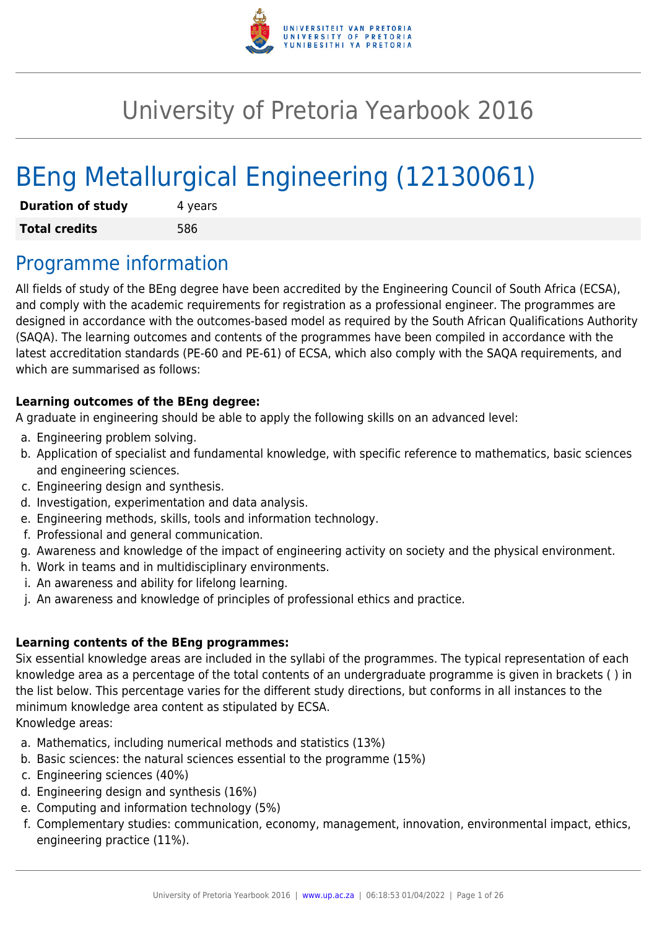

# University of Pretoria Yearbook 2016

# BEng Metallurgical Engineering (12130061)

| <b>Duration of study</b> | 4 years |
|--------------------------|---------|
| <b>Total credits</b>     | 586     |

## Programme information

All fields of study of the BEng degree have been accredited by the Engineering Council of South Africa (ECSA), and comply with the academic requirements for registration as a professional engineer. The programmes are designed in accordance with the outcomes-based model as required by the South African Qualifications Authority (SAQA). The learning outcomes and contents of the programmes have been compiled in accordance with the latest accreditation standards (PE-60 and PE-61) of ECSA, which also comply with the SAQA requirements, and which are summarised as follows:

## **Learning outcomes of the BEng degree:**

A graduate in engineering should be able to apply the following skills on an advanced level:

- a. Engineering problem solving.
- b. Application of specialist and fundamental knowledge, with specific reference to mathematics, basic sciences and engineering sciences.
- c. Engineering design and synthesis.
- d. Investigation, experimentation and data analysis.
- e. Engineering methods, skills, tools and information technology.
- f. Professional and general communication.
- g. Awareness and knowledge of the impact of engineering activity on society and the physical environment.
- h. Work in teams and in multidisciplinary environments.
- i. An awareness and ability for lifelong learning.
- j. An awareness and knowledge of principles of professional ethics and practice.

## **Learning contents of the BEng programmes:**

Six essential knowledge areas are included in the syllabi of the programmes. The typical representation of each knowledge area as a percentage of the total contents of an undergraduate programme is given in brackets ( ) in the list below. This percentage varies for the different study directions, but conforms in all instances to the minimum knowledge area content as stipulated by ECSA.

Knowledge areas:

- a. Mathematics, including numerical methods and statistics (13%)
- b. Basic sciences: the natural sciences essential to the programme (15%)
- c. Engineering sciences (40%)
- d. Engineering design and synthesis (16%)
- e. Computing and information technology (5%)
- f. Complementary studies: communication, economy, management, innovation, environmental impact, ethics, engineering practice (11%).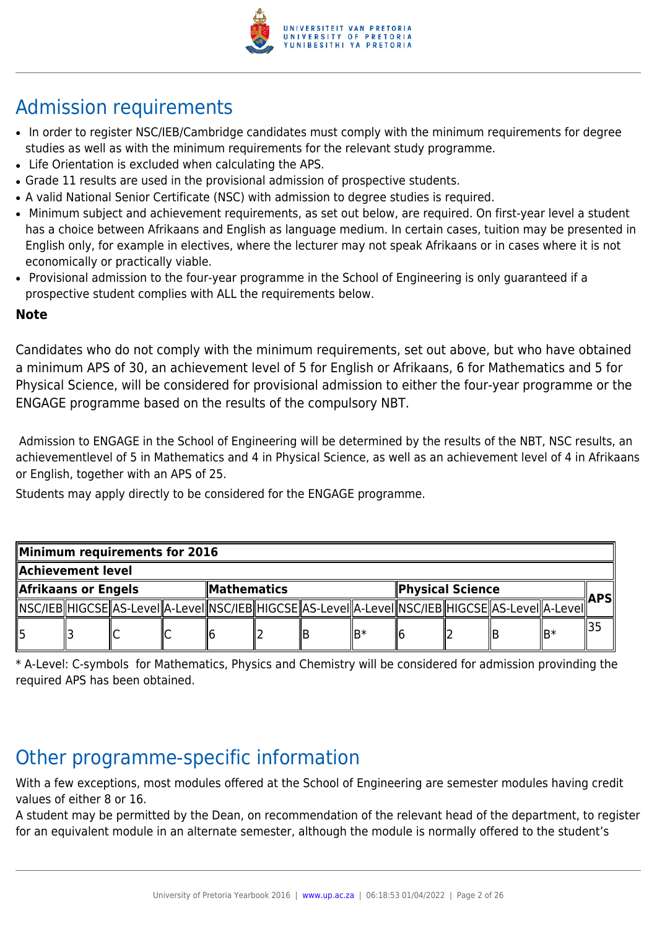

## Admission requirements

- In order to register NSC/IEB/Cambridge candidates must comply with the minimum requirements for degree studies as well as with the minimum requirements for the relevant study programme.
- Life Orientation is excluded when calculating the APS.
- Grade 11 results are used in the provisional admission of prospective students.
- A valid National Senior Certificate (NSC) with admission to degree studies is required.
- Minimum subject and achievement requirements, as set out below, are required. On first-year level a student has a choice between Afrikaans and English as language medium. In certain cases, tuition may be presented in English only, for example in electives, where the lecturer may not speak Afrikaans or in cases where it is not economically or practically viable.
- Provisional admission to the four-year programme in the School of Engineering is only guaranteed if a prospective student complies with ALL the requirements below.

## **Note**

Candidates who do not comply with the minimum requirements, set out above, but who have obtained a minimum APS of 30, an achievement level of 5 for English or Afrikaans, 6 for Mathematics and 5 for Physical Science, will be considered for provisional admission to either the four-year programme or the ENGAGE programme based on the results of the compulsory NBT.

 Admission to ENGAGE in the School of Engineering will be determined by the results of the NBT, NSC results, an achievementlevel of 5 in Mathematics and 4 in Physical Science, as well as an achievement level of 4 in Afrikaans or English, together with an APS of 25.

Students may apply directly to be considered for the ENGAGE programme.

| Minimum requirements for 2016 |  |  |              |  |  |                                                                                                              |  |  |            |  |     |  |
|-------------------------------|--|--|--------------|--|--|--------------------------------------------------------------------------------------------------------------|--|--|------------|--|-----|--|
| Achievement level             |  |  |              |  |  |                                                                                                              |  |  |            |  |     |  |
| Afrikaans or Engels           |  |  | ∥Mathematics |  |  | Physical Science                                                                                             |  |  | <b>APS</b> |  |     |  |
|                               |  |  |              |  |  | [\NSC/IEB  HIGCSE  AS-Level  A-Level  NSC/IEB  HIGCSE  AS-Level  A-Level  NSC/IEB  HIGCSE  AS-Level  A-Level |  |  |            |  |     |  |
| ll5                           |  |  |              |  |  |                                                                                                              |  |  |            |  | lB∗ |  |

\* A-Level: C-symbols for Mathematics, Physics and Chemistry will be considered for admission provinding the required APS has been obtained.

## Other programme-specific information

With a few exceptions, most modules offered at the School of Engineering are semester modules having credit values of either 8 or 16.

A student may be permitted by the Dean, on recommendation of the relevant head of the department, to register for an equivalent module in an alternate semester, although the module is normally offered to the student's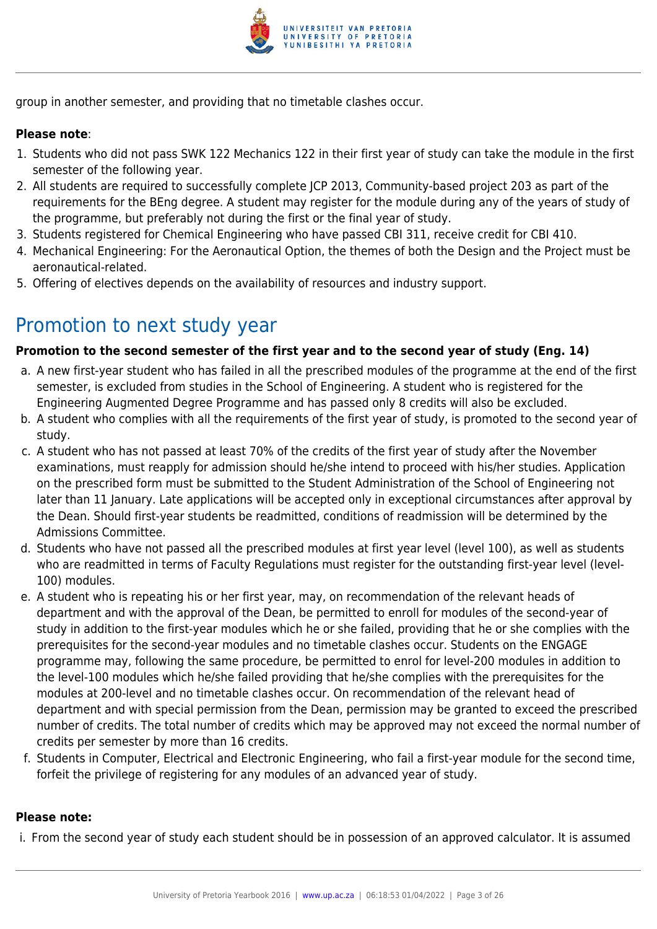

group in another semester, and providing that no timetable clashes occur.

#### **Please note**:

- 1. Students who did not pass SWK 122 Mechanics 122 in their first year of study can take the module in the first semester of the following year.
- 2. All students are required to successfully complete JCP 2013, Community-based project 203 as part of the requirements for the BEng degree. A student may register for the module during any of the years of study of the programme, but preferably not during the first or the final year of study.
- 3. Students registered for Chemical Engineering who have passed CBI 311, receive credit for CBI 410.
- 4. Mechanical Engineering: For the Aeronautical Option, the themes of both the Design and the Project must be aeronautical-related.
- 5. Offering of electives depends on the availability of resources and industry support.

## Promotion to next study year

#### **Promotion to the second semester of the first year and to the second year of study (Eng. 14)**

- a. A new first-year student who has failed in all the prescribed modules of the programme at the end of the first semester, is excluded from studies in the School of Engineering. A student who is registered for the Engineering Augmented Degree Programme and has passed only 8 credits will also be excluded.
- b. A student who complies with all the requirements of the first year of study, is promoted to the second year of study.
- c. A student who has not passed at least 70% of the credits of the first year of study after the November examinations, must reapply for admission should he/she intend to proceed with his/her studies. Application on the prescribed form must be submitted to the Student Administration of the School of Engineering not later than 11 January. Late applications will be accepted only in exceptional circumstances after approval by the Dean. Should first-year students be readmitted, conditions of readmission will be determined by the Admissions Committee.
- d. Students who have not passed all the prescribed modules at first year level (level 100), as well as students who are readmitted in terms of Faculty Regulations must register for the outstanding first-year level (level-100) modules.
- e. A student who is repeating his or her first year, may, on recommendation of the relevant heads of department and with the approval of the Dean, be permitted to enroll for modules of the second-year of study in addition to the first-year modules which he or she failed, providing that he or she complies with the prerequisites for the second-year modules and no timetable clashes occur. Students on the ENGAGE programme may, following the same procedure, be permitted to enrol for level-200 modules in addition to the level-100 modules which he/she failed providing that he/she complies with the prerequisites for the modules at 200-level and no timetable clashes occur. On recommendation of the relevant head of department and with special permission from the Dean, permission may be granted to exceed the prescribed number of credits. The total number of credits which may be approved may not exceed the normal number of credits per semester by more than 16 credits.
- f. Students in Computer, Electrical and Electronic Engineering, who fail a first-year module for the second time, forfeit the privilege of registering for any modules of an advanced year of study.

#### **Please note:**

i. From the second year of study each student should be in possession of an approved calculator. It is assumed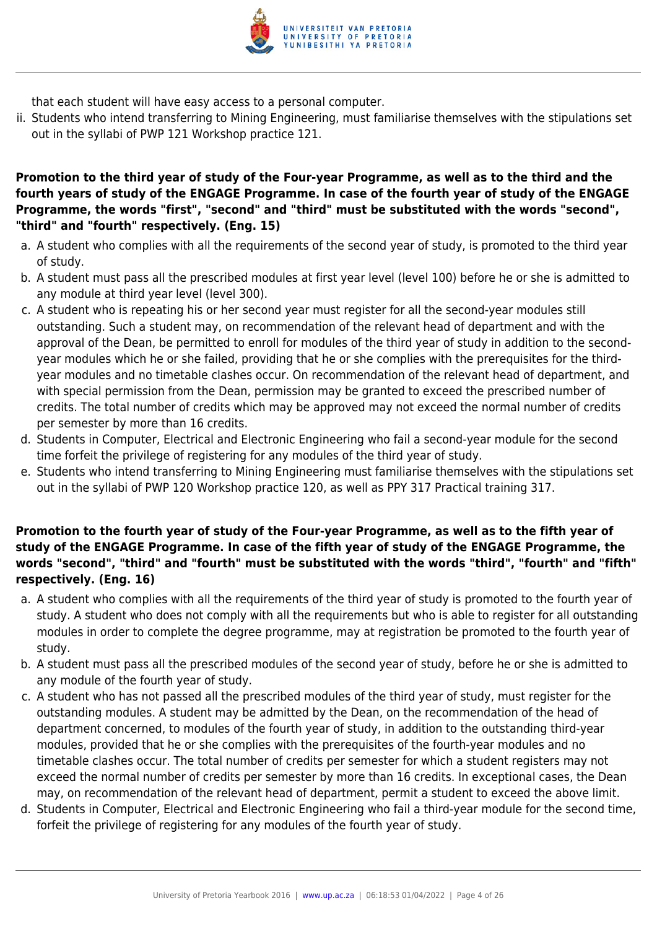

that each student will have easy access to a personal computer.

ii. Students who intend transferring to Mining Engineering, must familiarise themselves with the stipulations set out in the syllabi of PWP 121 Workshop practice 121.

#### **Promotion to the third year of study of the Four-year Programme, as well as to the third and the fourth years of study of the ENGAGE Programme. In case of the fourth year of study of the ENGAGE Programme, the words "first", "second" and "third" must be substituted with the words "second", "third" and "fourth" respectively. (Eng. 15)**

- a. A student who complies with all the requirements of the second year of study, is promoted to the third year of study.
- b. A student must pass all the prescribed modules at first year level (level 100) before he or she is admitted to any module at third year level (level 300).
- c. A student who is repeating his or her second year must register for all the second-year modules still outstanding. Such a student may, on recommendation of the relevant head of department and with the approval of the Dean, be permitted to enroll for modules of the third year of study in addition to the secondyear modules which he or she failed, providing that he or she complies with the prerequisites for the thirdyear modules and no timetable clashes occur. On recommendation of the relevant head of department, and with special permission from the Dean, permission may be granted to exceed the prescribed number of credits. The total number of credits which may be approved may not exceed the normal number of credits per semester by more than 16 credits.
- d. Students in Computer, Electrical and Electronic Engineering who fail a second-year module for the second time forfeit the privilege of registering for any modules of the third year of study.
- e. Students who intend transferring to Mining Engineering must familiarise themselves with the stipulations set out in the syllabi of PWP 120 Workshop practice 120, as well as PPY 317 Practical training 317.

#### **Promotion to the fourth year of study of the Four-year Programme, as well as to the fifth year of study of the ENGAGE Programme. In case of the fifth year of study of the ENGAGE Programme, the words "second", "third" and "fourth" must be substituted with the words "third", "fourth" and "fifth" respectively. (Eng. 16)**

- a. A student who complies with all the requirements of the third year of study is promoted to the fourth year of study. A student who does not comply with all the requirements but who is able to register for all outstanding modules in order to complete the degree programme, may at registration be promoted to the fourth year of study.
- b. A student must pass all the prescribed modules of the second year of study, before he or she is admitted to any module of the fourth year of study.
- c. A student who has not passed all the prescribed modules of the third year of study, must register for the outstanding modules. A student may be admitted by the Dean, on the recommendation of the head of department concerned, to modules of the fourth year of study, in addition to the outstanding third-year modules, provided that he or she complies with the prerequisites of the fourth-year modules and no timetable clashes occur. The total number of credits per semester for which a student registers may not exceed the normal number of credits per semester by more than 16 credits. In exceptional cases, the Dean may, on recommendation of the relevant head of department, permit a student to exceed the above limit.
- d. Students in Computer, Electrical and Electronic Engineering who fail a third-year module for the second time, forfeit the privilege of registering for any modules of the fourth year of study.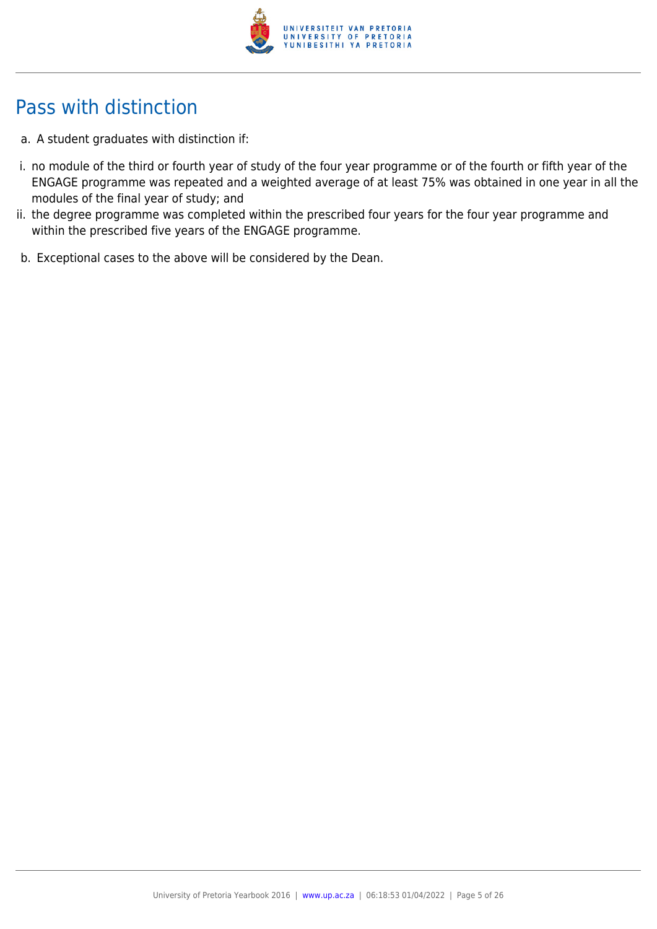

## Pass with distinction

- a. A student graduates with distinction if:
- i. no module of the third or fourth year of study of the four year programme or of the fourth or fifth year of the ENGAGE programme was repeated and a weighted average of at least 75% was obtained in one year in all the modules of the final year of study; and
- ii. the degree programme was completed within the prescribed four years for the four year programme and within the prescribed five years of the ENGAGE programme.
- b. Exceptional cases to the above will be considered by the Dean.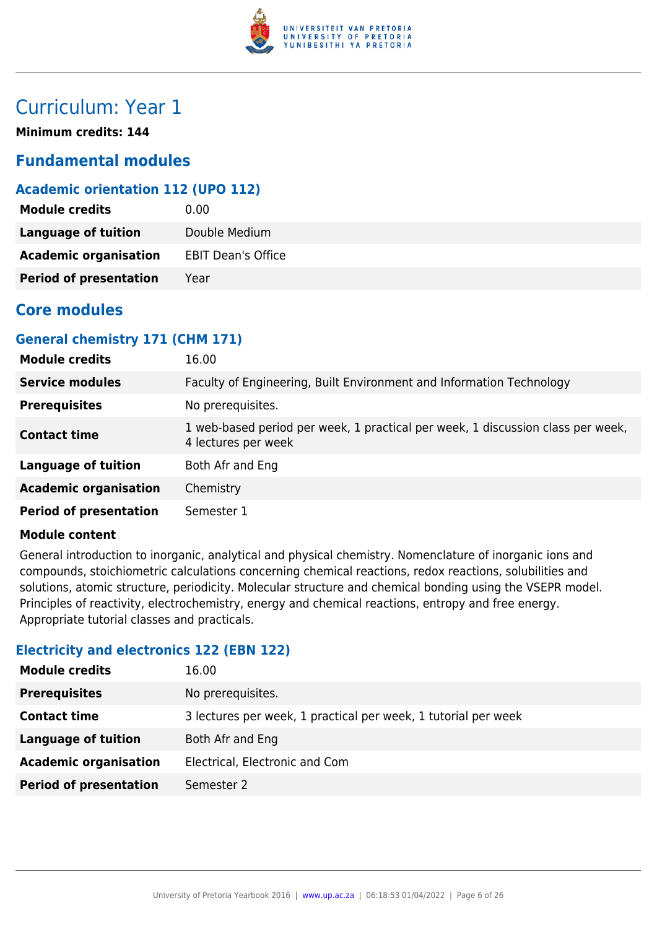

## Curriculum: Year 1

**Minimum credits: 144**

## **Fundamental modules**

## **Academic orientation 112 (UPO 112)**

| <b>Module credits</b>         | 0.00                      |
|-------------------------------|---------------------------|
| <b>Language of tuition</b>    | Double Medium             |
| <b>Academic organisation</b>  | <b>EBIT Dean's Office</b> |
| <b>Period of presentation</b> | Year                      |

## **Core modules**

## **General chemistry 171 (CHM 171)**

| <b>Module credits</b>         | 16.00                                                                                                  |
|-------------------------------|--------------------------------------------------------------------------------------------------------|
| <b>Service modules</b>        | Faculty of Engineering, Built Environment and Information Technology                                   |
| <b>Prerequisites</b>          | No prerequisites.                                                                                      |
| <b>Contact time</b>           | 1 web-based period per week, 1 practical per week, 1 discussion class per week,<br>4 lectures per week |
| <b>Language of tuition</b>    | Both Afr and Eng                                                                                       |
| <b>Academic organisation</b>  | Chemistry                                                                                              |
| <b>Period of presentation</b> | Semester 1                                                                                             |

#### **Module content**

General introduction to inorganic, analytical and physical chemistry. Nomenclature of inorganic ions and compounds, stoichiometric calculations concerning chemical reactions, redox reactions, solubilities and solutions, atomic structure, periodicity. Molecular structure and chemical bonding using the VSEPR model. Principles of reactivity, electrochemistry, energy and chemical reactions, entropy and free energy. Appropriate tutorial classes and practicals.

## **Electricity and electronics 122 (EBN 122)**

| <b>Module credits</b>         | 16.00                                                          |
|-------------------------------|----------------------------------------------------------------|
| <b>Prerequisites</b>          | No prerequisites.                                              |
| <b>Contact time</b>           | 3 lectures per week, 1 practical per week, 1 tutorial per week |
| <b>Language of tuition</b>    | Both Afr and Eng                                               |
| <b>Academic organisation</b>  | Electrical, Electronic and Com                                 |
| <b>Period of presentation</b> | Semester 2                                                     |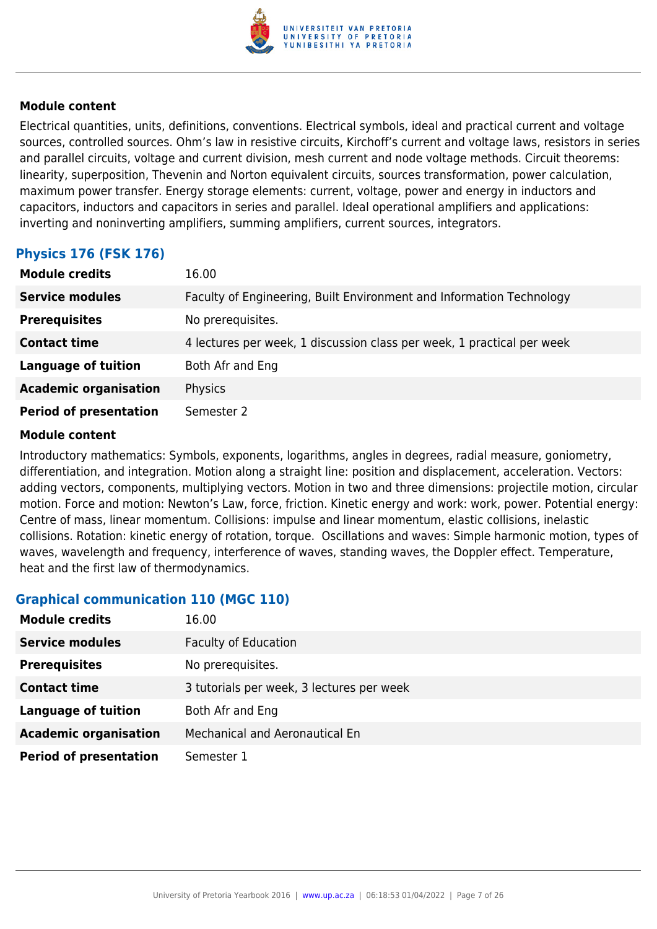

Electrical quantities, units, definitions, conventions. Electrical symbols, ideal and practical current and voltage sources, controlled sources. Ohm's law in resistive circuits, Kirchoff's current and voltage laws, resistors in series and parallel circuits, voltage and current division, mesh current and node voltage methods. Circuit theorems: linearity, superposition, Thevenin and Norton equivalent circuits, sources transformation, power calculation, maximum power transfer. Energy storage elements: current, voltage, power and energy in inductors and capacitors, inductors and capacitors in series and parallel. Ideal operational amplifiers and applications: inverting and noninverting amplifiers, summing amplifiers, current sources, integrators.

## **Physics 176 (FSK 176)**

| <b>Module credits</b>         | 16.00                                                                  |
|-------------------------------|------------------------------------------------------------------------|
| <b>Service modules</b>        | Faculty of Engineering, Built Environment and Information Technology   |
| <b>Prerequisites</b>          | No prerequisites.                                                      |
| <b>Contact time</b>           | 4 lectures per week, 1 discussion class per week, 1 practical per week |
| <b>Language of tuition</b>    | Both Afr and Eng                                                       |
| <b>Academic organisation</b>  | Physics                                                                |
| <b>Period of presentation</b> | Semester 2                                                             |

#### **Module content**

Introductory mathematics: Symbols, exponents, logarithms, angles in degrees, radial measure, goniometry, differentiation, and integration. Motion along a straight line: position and displacement, acceleration. Vectors: adding vectors, components, multiplying vectors. Motion in two and three dimensions: projectile motion, circular motion. Force and motion: Newton's Law, force, friction. Kinetic energy and work: work, power. Potential energy: Centre of mass, linear momentum. Collisions: impulse and linear momentum, elastic collisions, inelastic collisions. Rotation: kinetic energy of rotation, torque. Oscillations and waves: Simple harmonic motion, types of waves, wavelength and frequency, interference of waves, standing waves, the Doppler effect. Temperature, heat and the first law of thermodynamics.

#### **Graphical communication 110 (MGC 110)**

| <b>Module credits</b>         | 16.00                                     |
|-------------------------------|-------------------------------------------|
| <b>Service modules</b>        | <b>Faculty of Education</b>               |
| <b>Prerequisites</b>          | No prerequisites.                         |
| <b>Contact time</b>           | 3 tutorials per week, 3 lectures per week |
| <b>Language of tuition</b>    | Both Afr and Eng                          |
| <b>Academic organisation</b>  | Mechanical and Aeronautical En            |
| <b>Period of presentation</b> | Semester 1                                |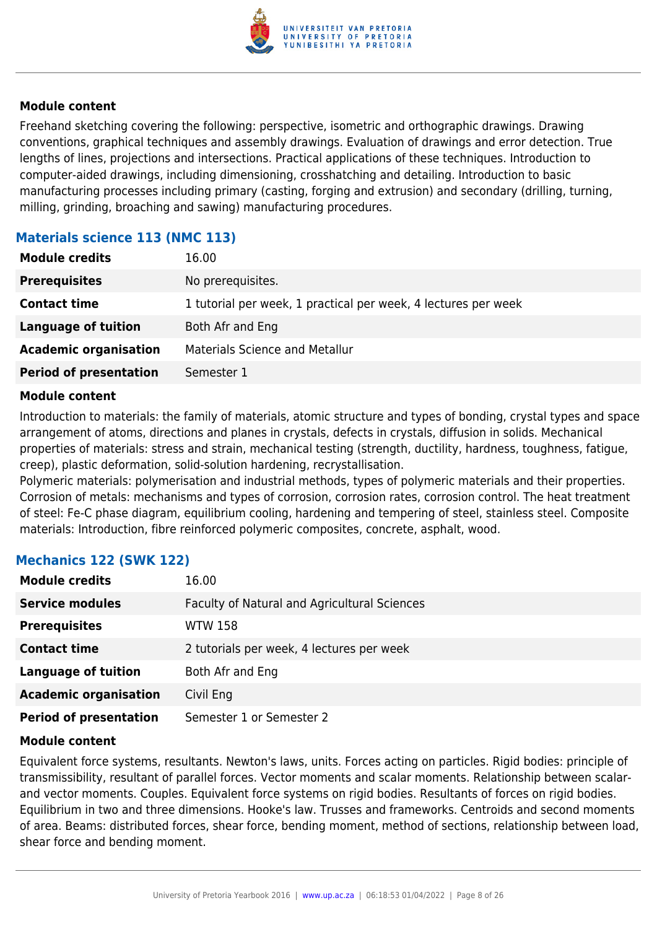

Freehand sketching covering the following: perspective, isometric and orthographic drawings. Drawing conventions, graphical techniques and assembly drawings. Evaluation of drawings and error detection. True lengths of lines, projections and intersections. Practical applications of these techniques. Introduction to computer-aided drawings, including dimensioning, crosshatching and detailing. Introduction to basic manufacturing processes including primary (casting, forging and extrusion) and secondary (drilling, turning, milling, grinding, broaching and sawing) manufacturing procedures.

## **Materials science 113 (NMC 113)**

| <b>Module credits</b>         | 16.00                                                          |
|-------------------------------|----------------------------------------------------------------|
| <b>Prerequisites</b>          | No prerequisites.                                              |
| <b>Contact time</b>           | 1 tutorial per week, 1 practical per week, 4 lectures per week |
| <b>Language of tuition</b>    | Both Afr and Eng                                               |
| <b>Academic organisation</b>  | <b>Materials Science and Metallur</b>                          |
| <b>Period of presentation</b> | Semester 1                                                     |

#### **Module content**

Introduction to materials: the family of materials, atomic structure and types of bonding, crystal types and space arrangement of atoms, directions and planes in crystals, defects in crystals, diffusion in solids. Mechanical properties of materials: stress and strain, mechanical testing (strength, ductility, hardness, toughness, fatigue, creep), plastic deformation, solid-solution hardening, recrystallisation.

Polymeric materials: polymerisation and industrial methods, types of polymeric materials and their properties. Corrosion of metals: mechanisms and types of corrosion, corrosion rates, corrosion control. The heat treatment of steel: Fe-C phase diagram, equilibrium cooling, hardening and tempering of steel, stainless steel. Composite materials: Introduction, fibre reinforced polymeric composites, concrete, asphalt, wood.

## **Mechanics 122 (SWK 122)**

| <b>Module credits</b>         | 16.00                                        |
|-------------------------------|----------------------------------------------|
| <b>Service modules</b>        | Faculty of Natural and Agricultural Sciences |
| <b>Prerequisites</b>          | WTW 158                                      |
| <b>Contact time</b>           | 2 tutorials per week, 4 lectures per week    |
| <b>Language of tuition</b>    | Both Afr and Eng                             |
| <b>Academic organisation</b>  | Civil Eng                                    |
| <b>Period of presentation</b> | Semester 1 or Semester 2                     |

#### **Module content**

Equivalent force systems, resultants. Newton's laws, units. Forces acting on particles. Rigid bodies: principle of transmissibility, resultant of parallel forces. Vector moments and scalar moments. Relationship between scalarand vector moments. Couples. Equivalent force systems on rigid bodies. Resultants of forces on rigid bodies. Equilibrium in two and three dimensions. Hooke's law. Trusses and frameworks. Centroids and second moments of area. Beams: distributed forces, shear force, bending moment, method of sections, relationship between load, shear force and bending moment.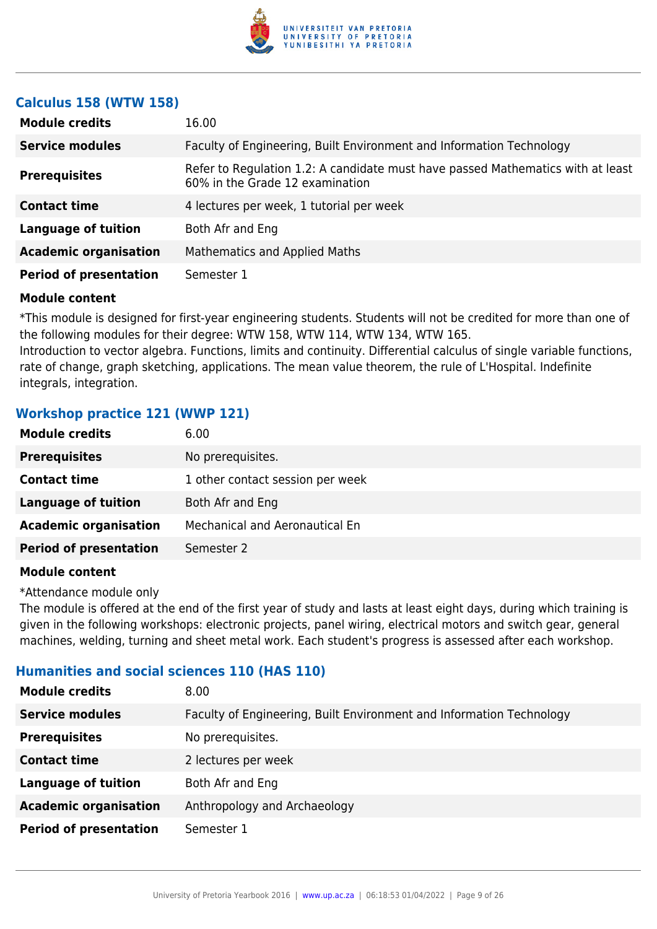

#### **Calculus 158 (WTW 158)**

| <b>Module credits</b>         | 16.00                                                                                                              |
|-------------------------------|--------------------------------------------------------------------------------------------------------------------|
| <b>Service modules</b>        | Faculty of Engineering, Built Environment and Information Technology                                               |
| <b>Prerequisites</b>          | Refer to Regulation 1.2: A candidate must have passed Mathematics with at least<br>60% in the Grade 12 examination |
| <b>Contact time</b>           | 4 lectures per week, 1 tutorial per week                                                                           |
| <b>Language of tuition</b>    | Both Afr and Eng                                                                                                   |
| <b>Academic organisation</b>  | Mathematics and Applied Maths                                                                                      |
| <b>Period of presentation</b> | Semester 1                                                                                                         |

#### **Module content**

\*This module is designed for first-year engineering students. Students will not be credited for more than one of the following modules for their degree: WTW 158, WTW 114, WTW 134, WTW 165.

Introduction to vector algebra. Functions, limits and continuity. Differential calculus of single variable functions, rate of change, graph sketching, applications. The mean value theorem, the rule of L'Hospital. Indefinite integrals, integration.

## **Workshop practice 121 (WWP 121)**

| <b>Module credits</b>         | 6.00                                  |
|-------------------------------|---------------------------------------|
| <b>Prerequisites</b>          | No prerequisites.                     |
| <b>Contact time</b>           | 1 other contact session per week      |
| <b>Language of tuition</b>    | Both Afr and Eng                      |
| <b>Academic organisation</b>  | <b>Mechanical and Aeronautical En</b> |
| <b>Period of presentation</b> | Semester 2                            |
|                               |                                       |

#### **Module content**

\*Attendance module only

The module is offered at the end of the first year of study and lasts at least eight days, during which training is given in the following workshops: electronic projects, panel wiring, electrical motors and switch gear, general machines, welding, turning and sheet metal work. Each student's progress is assessed after each workshop.

## **Humanities and social sciences 110 (HAS 110)**

| <b>Module credits</b>         | 8.00                                                                 |
|-------------------------------|----------------------------------------------------------------------|
| <b>Service modules</b>        | Faculty of Engineering, Built Environment and Information Technology |
| <b>Prerequisites</b>          | No prerequisites.                                                    |
| <b>Contact time</b>           | 2 lectures per week                                                  |
| <b>Language of tuition</b>    | Both Afr and Eng                                                     |
| <b>Academic organisation</b>  | Anthropology and Archaeology                                         |
| <b>Period of presentation</b> | Semester 1                                                           |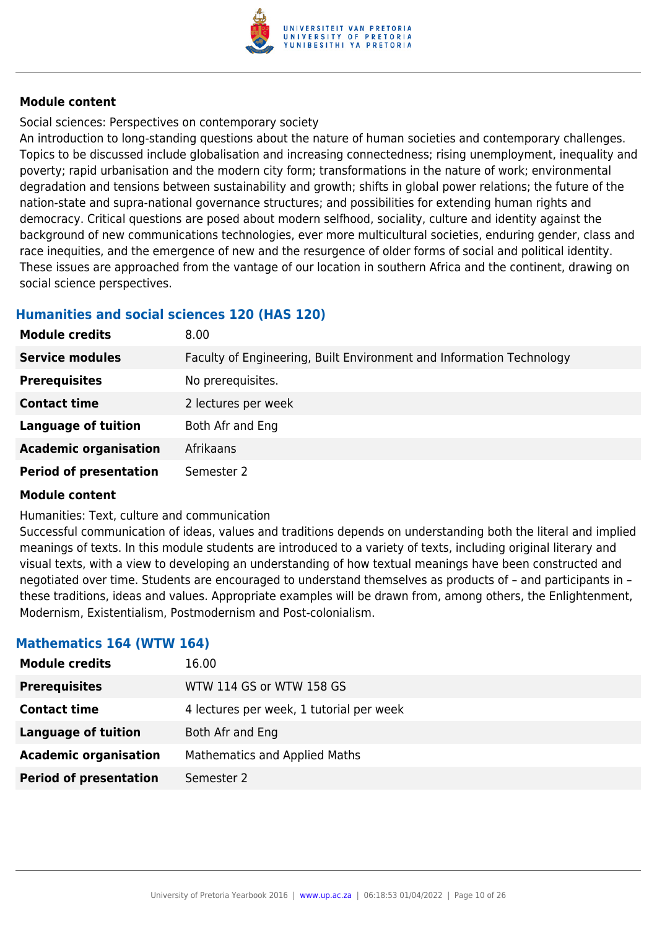

## Social sciences: Perspectives on contemporary society

An introduction to long-standing questions about the nature of human societies and contemporary challenges. Topics to be discussed include globalisation and increasing connectedness; rising unemployment, inequality and poverty; rapid urbanisation and the modern city form; transformations in the nature of work; environmental degradation and tensions between sustainability and growth; shifts in global power relations; the future of the nation-state and supra-national governance structures; and possibilities for extending human rights and democracy. Critical questions are posed about modern selfhood, sociality, culture and identity against the background of new communications technologies, ever more multicultural societies, enduring gender, class and race inequities, and the emergence of new and the resurgence of older forms of social and political identity. These issues are approached from the vantage of our location in southern Africa and the continent, drawing on social science perspectives.

## **Humanities and social sciences 120 (HAS 120)**

| <b>Module credits</b>         | 8.00                                                                 |
|-------------------------------|----------------------------------------------------------------------|
| <b>Service modules</b>        | Faculty of Engineering, Built Environment and Information Technology |
| <b>Prerequisites</b>          | No prerequisites.                                                    |
| <b>Contact time</b>           | 2 lectures per week                                                  |
| <b>Language of tuition</b>    | Both Afr and Eng                                                     |
| <b>Academic organisation</b>  | Afrikaans                                                            |
| <b>Period of presentation</b> | Semester 2                                                           |

#### **Module content**

#### Humanities: Text, culture and communication

Successful communication of ideas, values and traditions depends on understanding both the literal and implied meanings of texts. In this module students are introduced to a variety of texts, including original literary and visual texts, with a view to developing an understanding of how textual meanings have been constructed and negotiated over time. Students are encouraged to understand themselves as products of – and participants in – these traditions, ideas and values. Appropriate examples will be drawn from, among others, the Enlightenment, Modernism, Existentialism, Postmodernism and Post-colonialism.

## **Mathematics 164 (WTW 164)**

| <b>Module credits</b>         | 16.00                                    |
|-------------------------------|------------------------------------------|
| <b>Prerequisites</b>          | WTW 114 GS or WTW 158 GS                 |
| <b>Contact time</b>           | 4 lectures per week, 1 tutorial per week |
| <b>Language of tuition</b>    | Both Afr and Eng                         |
| <b>Academic organisation</b>  | Mathematics and Applied Maths            |
| <b>Period of presentation</b> | Semester 2                               |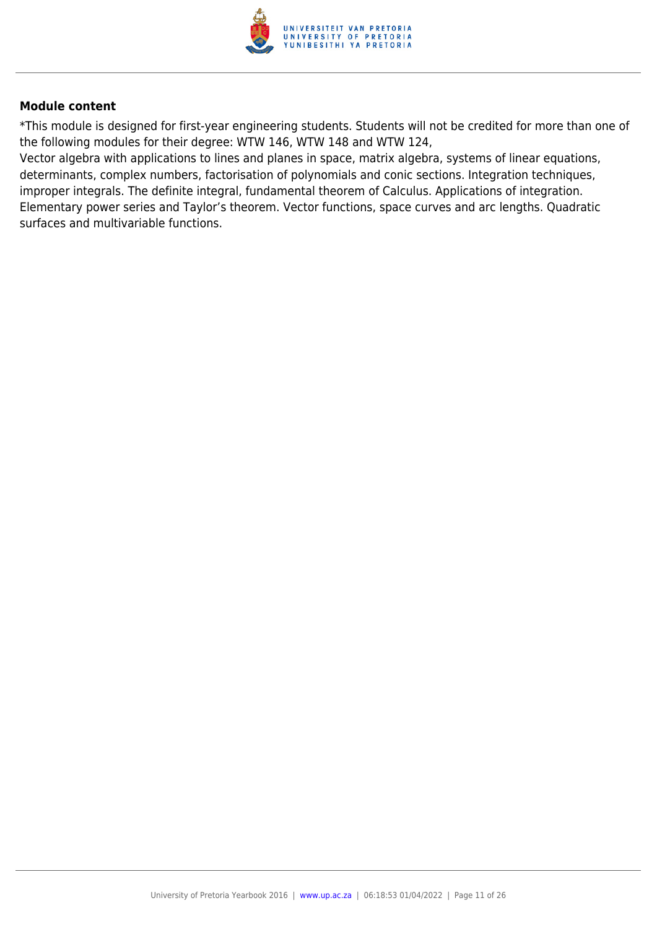

\*This module is designed for first-year engineering students. Students will not be credited for more than one of the following modules for their degree: WTW 146, WTW 148 and WTW 124,

Vector algebra with applications to lines and planes in space, matrix algebra, systems of linear equations, determinants, complex numbers, factorisation of polynomials and conic sections. Integration techniques, improper integrals. The definite integral, fundamental theorem of Calculus. Applications of integration. Elementary power series and Taylor's theorem. Vector functions, space curves and arc lengths. Quadratic surfaces and multivariable functions.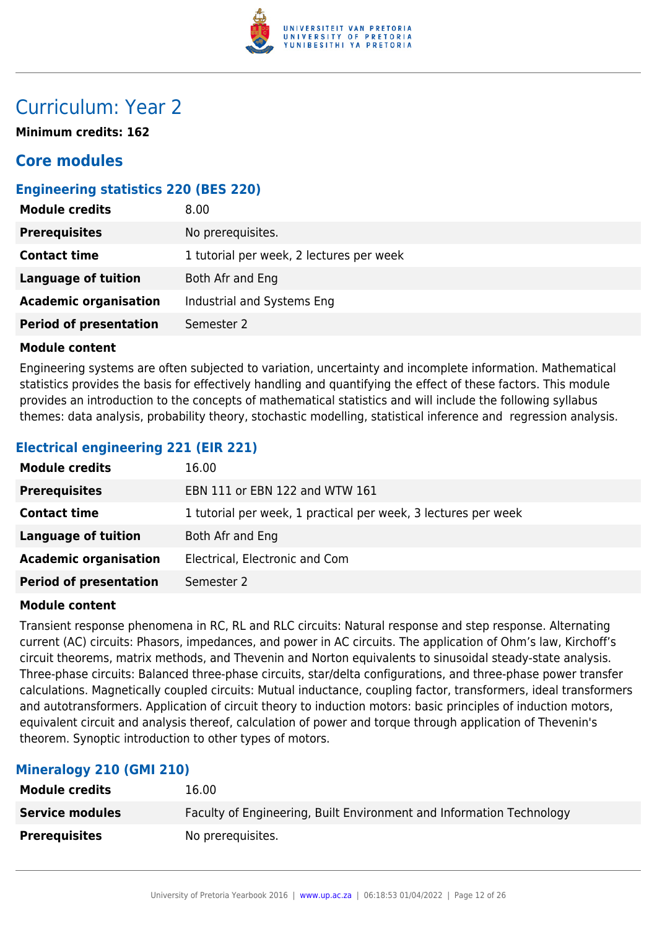

## Curriculum: Year 2

**Minimum credits: 162**

## **Core modules**

## **Engineering statistics 220 (BES 220)**

| <b>Module credits</b>         | 8.00                                     |
|-------------------------------|------------------------------------------|
| <b>Prerequisites</b>          | No prerequisites.                        |
| <b>Contact time</b>           | 1 tutorial per week, 2 lectures per week |
| Language of tuition           | Both Afr and Eng                         |
| <b>Academic organisation</b>  | Industrial and Systems Eng               |
| <b>Period of presentation</b> | Semester 2                               |

#### **Module content**

Engineering systems are often subjected to variation, uncertainty and incomplete information. Mathematical statistics provides the basis for effectively handling and quantifying the effect of these factors. This module provides an introduction to the concepts of mathematical statistics and will include the following syllabus themes: data analysis, probability theory, stochastic modelling, statistical inference and regression analysis.

## **Electrical engineering 221 (EIR 221)**

| <b>Module credits</b>         | 16.00                                                          |
|-------------------------------|----------------------------------------------------------------|
| <b>Prerequisites</b>          | EBN 111 or EBN 122 and WTW 161                                 |
| <b>Contact time</b>           | 1 tutorial per week, 1 practical per week, 3 lectures per week |
| <b>Language of tuition</b>    | Both Afr and Eng                                               |
| <b>Academic organisation</b>  | Electrical, Electronic and Com                                 |
| <b>Period of presentation</b> | Semester 2                                                     |

#### **Module content**

Transient response phenomena in RC, RL and RLC circuits: Natural response and step response. Alternating current (AC) circuits: Phasors, impedances, and power in AC circuits. The application of Ohm's law, Kirchoff's circuit theorems, matrix methods, and Thevenin and Norton equivalents to sinusoidal steady-state analysis. Three-phase circuits: Balanced three-phase circuits, star/delta configurations, and three-phase power transfer calculations. Magnetically coupled circuits: Mutual inductance, coupling factor, transformers, ideal transformers and autotransformers. Application of circuit theory to induction motors: basic principles of induction motors, equivalent circuit and analysis thereof, calculation of power and torque through application of Thevenin's theorem. Synoptic introduction to other types of motors.

## **Mineralogy 210 (GMI 210)**

| <b>Module credits</b>  | 16.00                                                                |
|------------------------|----------------------------------------------------------------------|
| <b>Service modules</b> | Faculty of Engineering, Built Environment and Information Technology |
| <b>Prerequisites</b>   | No prerequisites.                                                    |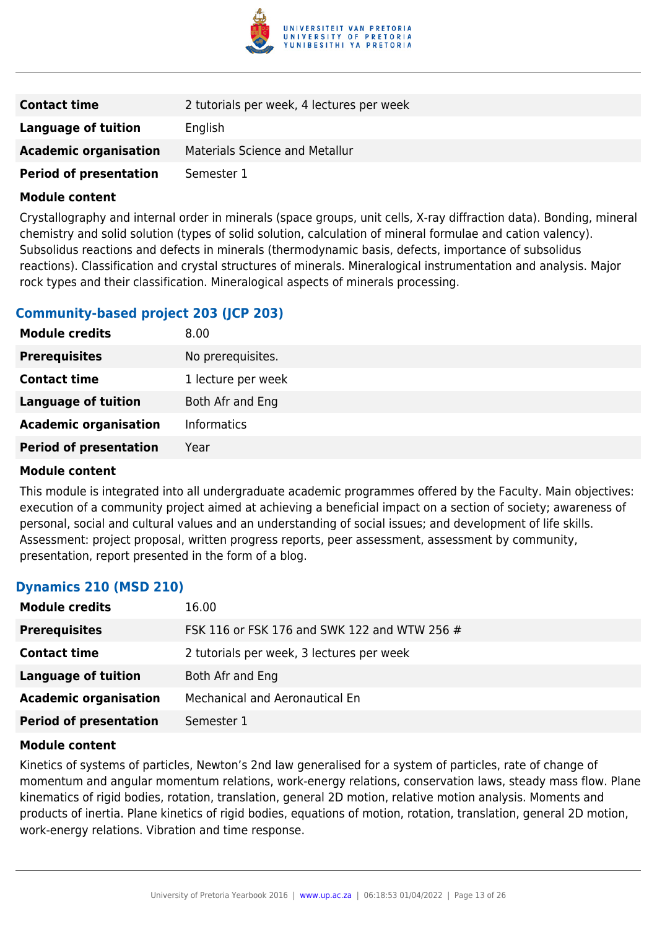

| <b>Contact time</b>           | 2 tutorials per week, 4 lectures per week |
|-------------------------------|-------------------------------------------|
| Language of tuition           | English                                   |
| <b>Academic organisation</b>  | <b>Materials Science and Metallur</b>     |
| <b>Period of presentation</b> | Semester 1                                |

Crystallography and internal order in minerals (space groups, unit cells, X-ray diffraction data). Bonding, mineral chemistry and solid solution (types of solid solution, calculation of mineral formulae and cation valency). Subsolidus reactions and defects in minerals (thermodynamic basis, defects, importance of subsolidus reactions). Classification and crystal structures of minerals. Mineralogical instrumentation and analysis. Major rock types and their classification. Mineralogical aspects of minerals processing.

## **Community-based project 203 (JCP 203)**

| <b>Module credits</b>         | 8.00               |
|-------------------------------|--------------------|
| <b>Prerequisites</b>          | No prerequisites.  |
| <b>Contact time</b>           | 1 lecture per week |
| <b>Language of tuition</b>    | Both Afr and Eng   |
| <b>Academic organisation</b>  | <b>Informatics</b> |
| <b>Period of presentation</b> | Year               |
|                               |                    |

#### **Module content**

This module is integrated into all undergraduate academic programmes offered by the Faculty. Main objectives: execution of a community project aimed at achieving a beneficial impact on a section of society; awareness of personal, social and cultural values and an understanding of social issues; and development of life skills. Assessment: project proposal, written progress reports, peer assessment, assessment by community, presentation, report presented in the form of a blog.

## **Dynamics 210 (MSD 210)**

| <b>Module credits</b>         | 16.00                                        |
|-------------------------------|----------------------------------------------|
| <b>Prerequisites</b>          | FSK 116 or FSK 176 and SWK 122 and WTW 256 # |
| <b>Contact time</b>           | 2 tutorials per week, 3 lectures per week    |
| Language of tuition           | Both Afr and Eng                             |
| <b>Academic organisation</b>  | Mechanical and Aeronautical En               |
| <b>Period of presentation</b> | Semester 1                                   |

#### **Module content**

Kinetics of systems of particles, Newton's 2nd law generalised for a system of particles, rate of change of momentum and angular momentum relations, work-energy relations, conservation laws, steady mass flow. Plane kinematics of rigid bodies, rotation, translation, general 2D motion, relative motion analysis. Moments and products of inertia. Plane kinetics of rigid bodies, equations of motion, rotation, translation, general 2D motion, work-energy relations. Vibration and time response.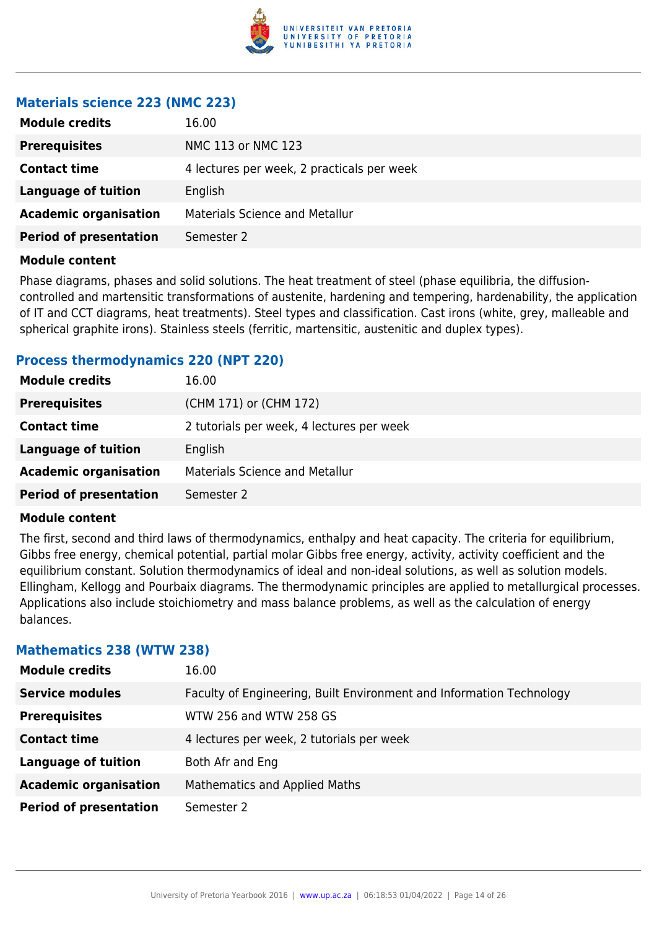

## **Materials science 223 (NMC 223)**

| <b>Module credits</b>         | 16.00                                      |
|-------------------------------|--------------------------------------------|
| <b>Prerequisites</b>          | NMC 113 or NMC 123                         |
| <b>Contact time</b>           | 4 lectures per week, 2 practicals per week |
| Language of tuition           | English                                    |
| <b>Academic organisation</b>  | <b>Materials Science and Metallur</b>      |
| <b>Period of presentation</b> | Semester 2                                 |
|                               |                                            |

#### **Module content**

Phase diagrams, phases and solid solutions. The heat treatment of steel (phase equilibria, the diffusioncontrolled and martensitic transformations of austenite, hardening and tempering, hardenability, the application of IT and CCT diagrams, heat treatments). Steel types and classification. Cast irons (white, grey, malleable and spherical graphite irons). Stainless steels (ferritic, martensitic, austenitic and duplex types).

#### **Process thermodynamics 220 (NPT 220)**

| <b>Module credits</b>         | 16.00                                     |
|-------------------------------|-------------------------------------------|
| <b>Prerequisites</b>          | (CHM 171) or (CHM 172)                    |
| <b>Contact time</b>           | 2 tutorials per week, 4 lectures per week |
| <b>Language of tuition</b>    | English                                   |
| <b>Academic organisation</b>  | <b>Materials Science and Metallur</b>     |
| <b>Period of presentation</b> | Semester 2                                |

#### **Module content**

The first, second and third laws of thermodynamics, enthalpy and heat capacity. The criteria for equilibrium, Gibbs free energy, chemical potential, partial molar Gibbs free energy, activity, activity coefficient and the equilibrium constant. Solution thermodynamics of ideal and non-ideal solutions, as well as solution models. Ellingham, Kellogg and Pourbaix diagrams. The thermodynamic principles are applied to metallurgical processes. Applications also include stoichiometry and mass balance problems, as well as the calculation of energy balances.

#### **Mathematics 238 (WTW 238)**

| <b>Module credits</b>         | 16.00                                                                |
|-------------------------------|----------------------------------------------------------------------|
| <b>Service modules</b>        | Faculty of Engineering, Built Environment and Information Technology |
| <b>Prerequisites</b>          | WTW 256 and WTW 258 GS                                               |
| <b>Contact time</b>           | 4 lectures per week, 2 tutorials per week                            |
| <b>Language of tuition</b>    | Both Afr and Eng                                                     |
| <b>Academic organisation</b>  | Mathematics and Applied Maths                                        |
| <b>Period of presentation</b> | Semester 2                                                           |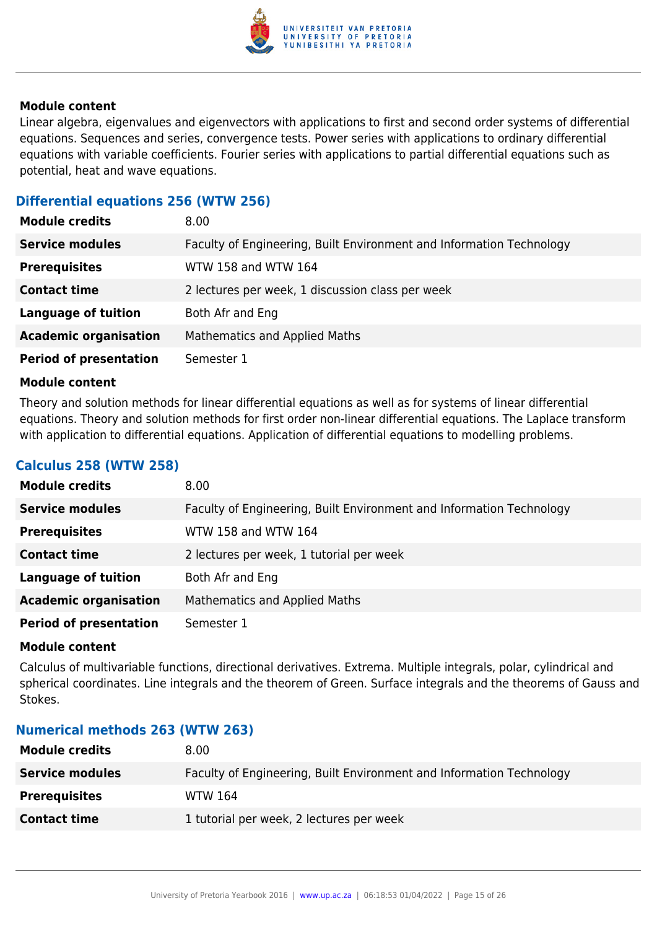

Linear algebra, eigenvalues and eigenvectors with applications to first and second order systems of differential equations. Sequences and series, convergence tests. Power series with applications to ordinary differential equations with variable coefficients. Fourier series with applications to partial differential equations such as potential, heat and wave equations.

## **Differential equations 256 (WTW 256)**

| <b>Module credits</b>         | 8.00                                                                 |
|-------------------------------|----------------------------------------------------------------------|
| <b>Service modules</b>        | Faculty of Engineering, Built Environment and Information Technology |
| <b>Prerequisites</b>          | WTW 158 and WTW 164                                                  |
| <b>Contact time</b>           | 2 lectures per week, 1 discussion class per week                     |
| <b>Language of tuition</b>    | Both Afr and Eng                                                     |
| <b>Academic organisation</b>  | Mathematics and Applied Maths                                        |
| <b>Period of presentation</b> | Semester 1                                                           |

#### **Module content**

Theory and solution methods for linear differential equations as well as for systems of linear differential equations. Theory and solution methods for first order non-linear differential equations. The Laplace transform with application to differential equations. Application of differential equations to modelling problems.

#### **Calculus 258 (WTW 258)**

| <b>Module credits</b>         | 8.00                                                                 |  |
|-------------------------------|----------------------------------------------------------------------|--|
| <b>Service modules</b>        | Faculty of Engineering, Built Environment and Information Technology |  |
| <b>Prerequisites</b>          | WTW 158 and WTW 164                                                  |  |
| <b>Contact time</b>           | 2 lectures per week, 1 tutorial per week                             |  |
| <b>Language of tuition</b>    | Both Afr and Eng                                                     |  |
| <b>Academic organisation</b>  | <b>Mathematics and Applied Maths</b>                                 |  |
| <b>Period of presentation</b> | Semester 1                                                           |  |

#### **Module content**

Calculus of multivariable functions, directional derivatives. Extrema. Multiple integrals, polar, cylindrical and spherical coordinates. Line integrals and the theorem of Green. Surface integrals and the theorems of Gauss and Stokes.

#### **Numerical methods 263 (WTW 263)**

| <b>Module credits</b>  | 8.00                                                                 |
|------------------------|----------------------------------------------------------------------|
| <b>Service modules</b> | Faculty of Engineering, Built Environment and Information Technology |
| <b>Prerequisites</b>   | WTW 164                                                              |
| <b>Contact time</b>    | 1 tutorial per week, 2 lectures per week                             |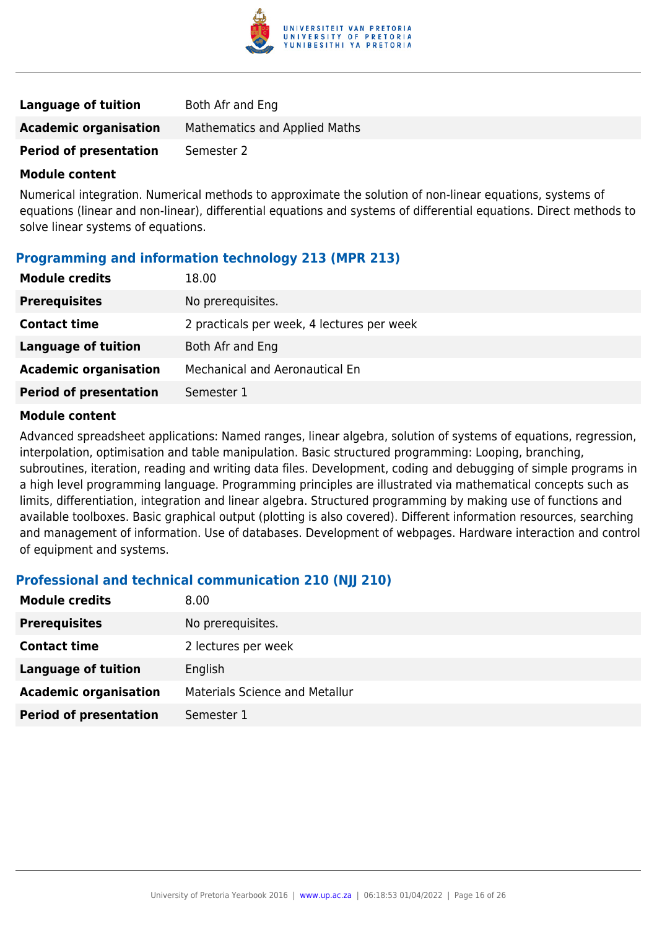

| <b>Language of tuition</b>    | Both Afr and Eng                     |
|-------------------------------|--------------------------------------|
| <b>Academic organisation</b>  | <b>Mathematics and Applied Maths</b> |
| <b>Period of presentation</b> | Semester 2                           |

Numerical integration. Numerical methods to approximate the solution of non-linear equations, systems of equations (linear and non-linear), differential equations and systems of differential equations. Direct methods to solve linear systems of equations.

#### **Programming and information technology 213 (MPR 213)**

| <b>Module credits</b>         | 18.00                                      |  |
|-------------------------------|--------------------------------------------|--|
| <b>Prerequisites</b>          | No prerequisites.                          |  |
| <b>Contact time</b>           | 2 practicals per week, 4 lectures per week |  |
| Language of tuition           | Both Afr and Eng                           |  |
| <b>Academic organisation</b>  | Mechanical and Aeronautical En             |  |
| <b>Period of presentation</b> | Semester 1                                 |  |

#### **Module content**

Advanced spreadsheet applications: Named ranges, linear algebra, solution of systems of equations, regression, interpolation, optimisation and table manipulation. Basic structured programming: Looping, branching, subroutines, iteration, reading and writing data files. Development, coding and debugging of simple programs in a high level programming language. Programming principles are illustrated via mathematical concepts such as limits, differentiation, integration and linear algebra. Structured programming by making use of functions and available toolboxes. Basic graphical output (plotting is also covered). Different information resources, searching and management of information. Use of databases. Development of webpages. Hardware interaction and control of equipment and systems.

## **Professional and technical communication 210 (NJJ 210)**

| <b>Module credits</b>         | 8.00                                  |
|-------------------------------|---------------------------------------|
| <b>Prerequisites</b>          | No prerequisites.                     |
| <b>Contact time</b>           | 2 lectures per week                   |
| Language of tuition           | English                               |
| <b>Academic organisation</b>  | <b>Materials Science and Metallur</b> |
| <b>Period of presentation</b> | Semester 1                            |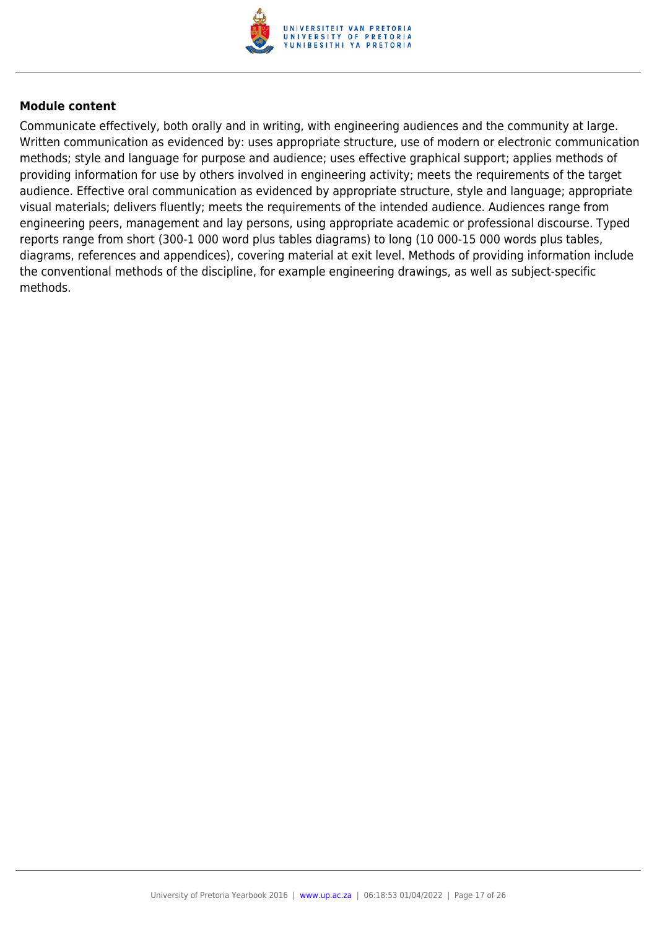

Communicate effectively, both orally and in writing, with engineering audiences and the community at large. Written communication as evidenced by: uses appropriate structure, use of modern or electronic communication methods; style and language for purpose and audience; uses effective graphical support; applies methods of providing information for use by others involved in engineering activity; meets the requirements of the target audience. Effective oral communication as evidenced by appropriate structure, style and language; appropriate visual materials; delivers fluently; meets the requirements of the intended audience. Audiences range from engineering peers, management and lay persons, using appropriate academic or professional discourse. Typed reports range from short (300-1 000 word plus tables diagrams) to long (10 000-15 000 words plus tables, diagrams, references and appendices), covering material at exit level. Methods of providing information include the conventional methods of the discipline, for example engineering drawings, as well as subject-specific methods.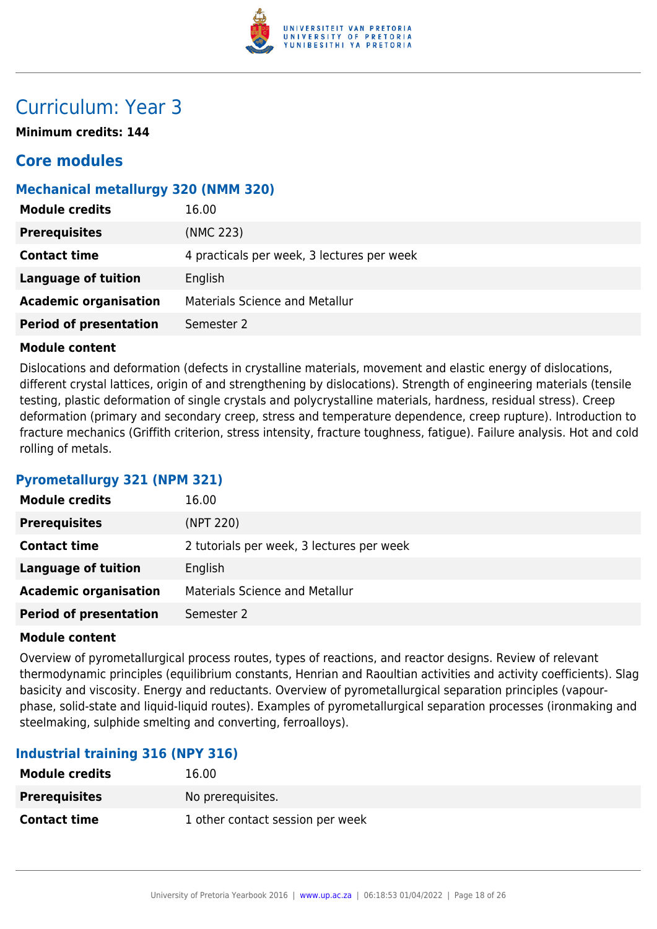

## Curriculum: Year 3

**Minimum credits: 144**

## **Core modules**

## **Mechanical metallurgy 320 (NMM 320)**

| <b>Module credits</b>         | 16.00                                      |  |
|-------------------------------|--------------------------------------------|--|
| <b>Prerequisites</b>          | (NMC 223)                                  |  |
| <b>Contact time</b>           | 4 practicals per week, 3 lectures per week |  |
| Language of tuition           | English                                    |  |
| <b>Academic organisation</b>  | <b>Materials Science and Metallur</b>      |  |
| <b>Period of presentation</b> | Semester 2                                 |  |

#### **Module content**

Dislocations and deformation (defects in crystalline materials, movement and elastic energy of dislocations, different crystal lattices, origin of and strengthening by dislocations). Strength of engineering materials (tensile testing, plastic deformation of single crystals and polycrystalline materials, hardness, residual stress). Creep deformation (primary and secondary creep, stress and temperature dependence, creep rupture). Introduction to fracture mechanics (Griffith criterion, stress intensity, fracture toughness, fatigue). Failure analysis. Hot and cold rolling of metals.

## **Pyrometallurgy 321 (NPM 321)**

| <b>Module credits</b>         | 16.00                                     |  |
|-------------------------------|-------------------------------------------|--|
| <b>Prerequisites</b>          | (NPT 220)                                 |  |
| <b>Contact time</b>           | 2 tutorials per week, 3 lectures per week |  |
| Language of tuition           | English                                   |  |
| <b>Academic organisation</b>  | <b>Materials Science and Metallur</b>     |  |
| <b>Period of presentation</b> | Semester 2                                |  |

#### **Module content**

Overview of pyrometallurgical process routes, types of reactions, and reactor designs. Review of relevant thermodynamic principles (equilibrium constants, Henrian and Raoultian activities and activity coefficients). Slag basicity and viscosity. Energy and reductants. Overview of pyrometallurgical separation principles (vapourphase, solid-state and liquid-liquid routes). Examples of pyrometallurgical separation processes (ironmaking and steelmaking, sulphide smelting and converting, ferroalloys).

## **Industrial training 316 (NPY 316)**

| <b>Module credits</b> | 16.00                            |
|-----------------------|----------------------------------|
| <b>Prerequisites</b>  | No prerequisites.                |
| <b>Contact time</b>   | 1 other contact session per week |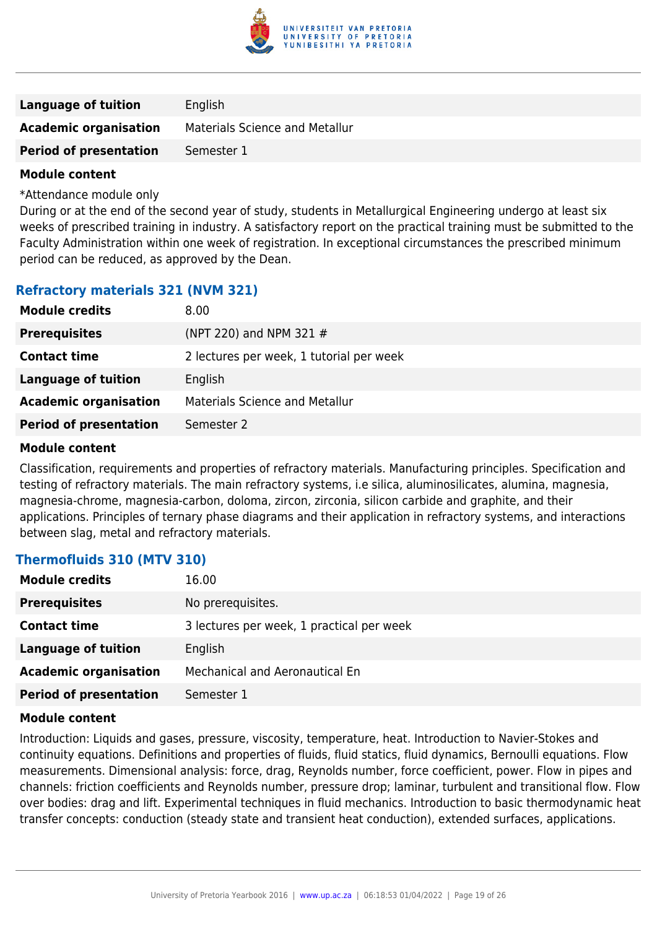

| <b>Language of tuition</b>    | English                               |
|-------------------------------|---------------------------------------|
| <b>Academic organisation</b>  | <b>Materials Science and Metallur</b> |
| <b>Period of presentation</b> | Semester 1                            |

\*Attendance module only

During or at the end of the second year of study, students in Metallurgical Engineering undergo at least six weeks of prescribed training in industry. A satisfactory report on the practical training must be submitted to the Faculty Administration within one week of registration. In exceptional circumstances the prescribed minimum period can be reduced, as approved by the Dean.

## **Refractory materials 321 (NVM 321)**

| <b>Module credits</b>         | 8.00                                     |
|-------------------------------|------------------------------------------|
| <b>Prerequisites</b>          | (NPT 220) and NPM 321 $#$                |
| <b>Contact time</b>           | 2 lectures per week, 1 tutorial per week |
| Language of tuition           | English                                  |
| <b>Academic organisation</b>  | <b>Materials Science and Metallur</b>    |
| <b>Period of presentation</b> | Semester 2                               |
|                               |                                          |

#### **Module content**

Classification, requirements and properties of refractory materials. Manufacturing principles. Specification and testing of refractory materials. The main refractory systems, i.e silica, aluminosilicates, alumina, magnesia, magnesia-chrome, magnesia-carbon, doloma, zircon, zirconia, silicon carbide and graphite, and their applications. Principles of ternary phase diagrams and their application in refractory systems, and interactions between slag, metal and refractory materials.

#### **Thermofluids 310 (MTV 310)**

| <b>Module credits</b>         | 16.00                                     |  |
|-------------------------------|-------------------------------------------|--|
| <b>Prerequisites</b>          | No prerequisites.                         |  |
| <b>Contact time</b>           | 3 lectures per week, 1 practical per week |  |
| Language of tuition           | English                                   |  |
| <b>Academic organisation</b>  | Mechanical and Aeronautical En            |  |
| <b>Period of presentation</b> | Semester 1                                |  |

#### **Module content**

Introduction: Liquids and gases, pressure, viscosity, temperature, heat. Introduction to Navier-Stokes and continuity equations. Definitions and properties of fluids, fluid statics, fluid dynamics, Bernoulli equations. Flow measurements. Dimensional analysis: force, drag, Reynolds number, force coefficient, power. Flow in pipes and channels: friction coefficients and Reynolds number, pressure drop; laminar, turbulent and transitional flow. Flow over bodies: drag and lift. Experimental techniques in fluid mechanics. Introduction to basic thermodynamic heat transfer concepts: conduction (steady state and transient heat conduction), extended surfaces, applications.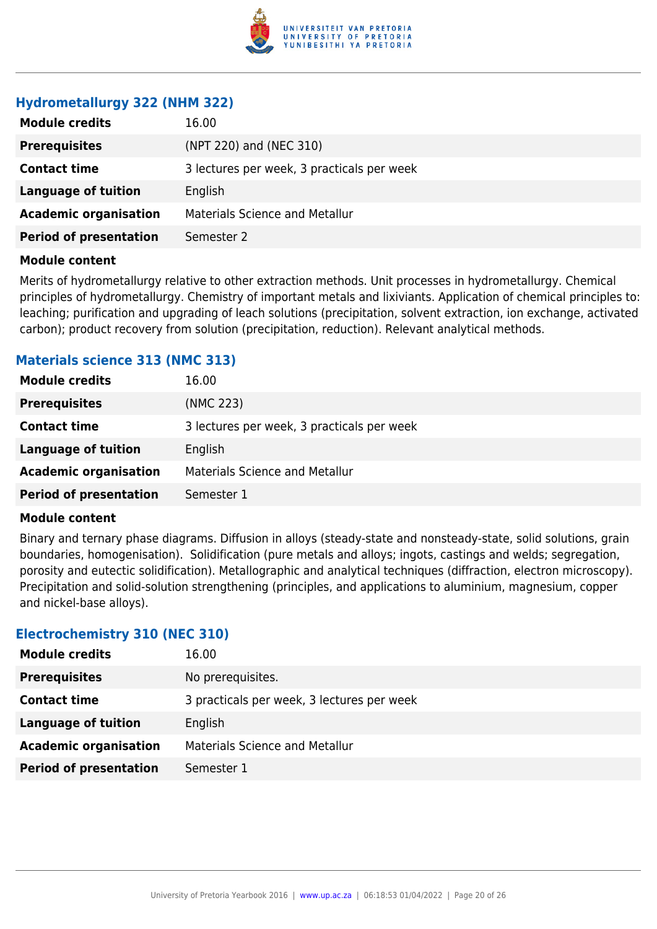

## **Hydrometallurgy 322 (NHM 322)**

| <b>Module credits</b><br>16.00              |                                            |  |
|---------------------------------------------|--------------------------------------------|--|
| <b>Prerequisites</b>                        | (NPT 220) and (NEC 310)                    |  |
| <b>Contact time</b>                         | 3 lectures per week, 3 practicals per week |  |
| <b>Language of tuition</b><br>English       |                                            |  |
| <b>Academic organisation</b>                | <b>Materials Science and Metallur</b>      |  |
| <b>Period of presentation</b><br>Semester 2 |                                            |  |

#### **Module content**

Merits of hydrometallurgy relative to other extraction methods. Unit processes in hydrometallurgy. Chemical principles of hydrometallurgy. Chemistry of important metals and lixiviants. Application of chemical principles to: leaching; purification and upgrading of leach solutions (precipitation, solvent extraction, ion exchange, activated carbon); product recovery from solution (precipitation, reduction). Relevant analytical methods.

## **Materials science 313 (NMC 313)**

| <b>Module credits</b>         | 16.00                                      |
|-------------------------------|--------------------------------------------|
| <b>Prerequisites</b>          | (NMC 223)                                  |
| <b>Contact time</b>           | 3 lectures per week, 3 practicals per week |
| Language of tuition           | English                                    |
| <b>Academic organisation</b>  | <b>Materials Science and Metallur</b>      |
| <b>Period of presentation</b> | Semester 1                                 |

#### **Module content**

Binary and ternary phase diagrams. Diffusion in alloys (steady-state and nonsteady-state, solid solutions, grain boundaries, homogenisation). Solidification (pure metals and alloys; ingots, castings and welds; segregation, porosity and eutectic solidification). Metallographic and analytical techniques (diffraction, electron microscopy). Precipitation and solid-solution strengthening (principles, and applications to aluminium, magnesium, copper and nickel-base alloys).

#### **Electrochemistry 310 (NEC 310)**

| <b>Module credits</b>         | 16.00                                      |
|-------------------------------|--------------------------------------------|
| <b>Prerequisites</b>          | No prerequisites.                          |
| <b>Contact time</b>           | 3 practicals per week, 3 lectures per week |
| <b>Language of tuition</b>    | English                                    |
| <b>Academic organisation</b>  | <b>Materials Science and Metallur</b>      |
| <b>Period of presentation</b> | Semester 1                                 |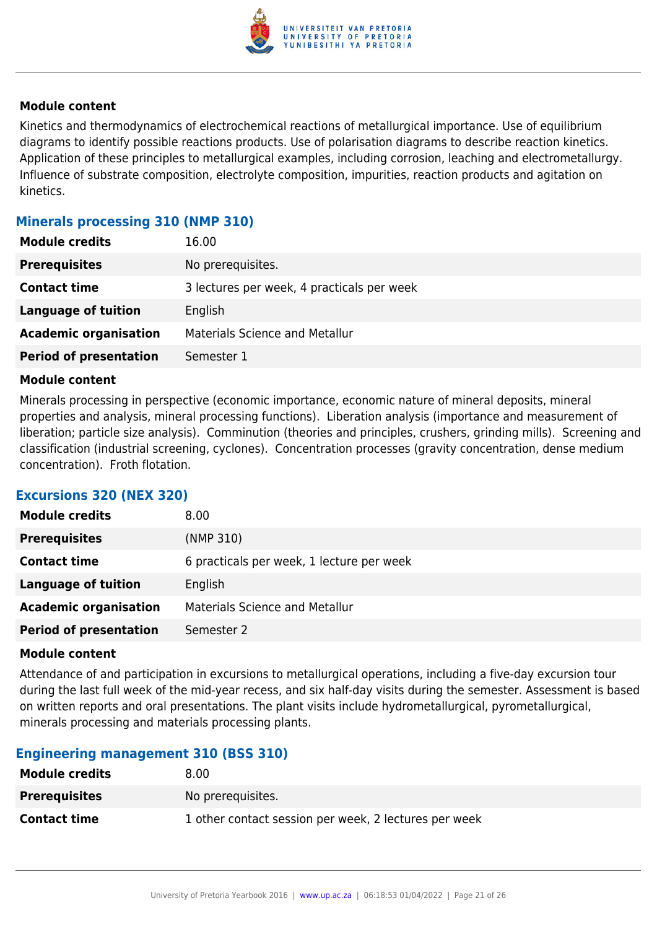

Kinetics and thermodynamics of electrochemical reactions of metallurgical importance. Use of equilibrium diagrams to identify possible reactions products. Use of polarisation diagrams to describe reaction kinetics. Application of these principles to metallurgical examples, including corrosion, leaching and electrometallurgy. Influence of substrate composition, electrolyte composition, impurities, reaction products and agitation on kinetics.

### **Minerals processing 310 (NMP 310)**

| <b>Module credits</b>         | 16.00                                      |
|-------------------------------|--------------------------------------------|
| <b>Prerequisites</b>          | No prerequisites.                          |
| <b>Contact time</b>           | 3 lectures per week, 4 practicals per week |
| <b>Language of tuition</b>    | English                                    |
| <b>Academic organisation</b>  | <b>Materials Science and Metallur</b>      |
| <b>Period of presentation</b> | Semester 1                                 |

#### **Module content**

Minerals processing in perspective (economic importance, economic nature of mineral deposits, mineral properties and analysis, mineral processing functions). Liberation analysis (importance and measurement of liberation; particle size analysis). Comminution (theories and principles, crushers, grinding mills). Screening and classification (industrial screening, cyclones). Concentration processes (gravity concentration, dense medium concentration). Froth flotation.

## **Excursions 320 (NEX 320)**

| <b>Module credits</b>         | 8.00                                      |
|-------------------------------|-------------------------------------------|
| <b>Prerequisites</b>          | (NMP 310)                                 |
| <b>Contact time</b>           | 6 practicals per week, 1 lecture per week |
| Language of tuition           | English                                   |
| <b>Academic organisation</b>  | <b>Materials Science and Metallur</b>     |
| <b>Period of presentation</b> | Semester 2                                |

#### **Module content**

Attendance of and participation in excursions to metallurgical operations, including a five-day excursion tour during the last full week of the mid-year recess, and six half-day visits during the semester. Assessment is based on written reports and oral presentations. The plant visits include hydrometallurgical, pyrometallurgical, minerals processing and materials processing plants.

#### **Engineering management 310 (BSS 310)**

| <b>Module credits</b> | 8.00                                                  |
|-----------------------|-------------------------------------------------------|
| <b>Prerequisites</b>  | No prerequisites.                                     |
| <b>Contact time</b>   | 1 other contact session per week, 2 lectures per week |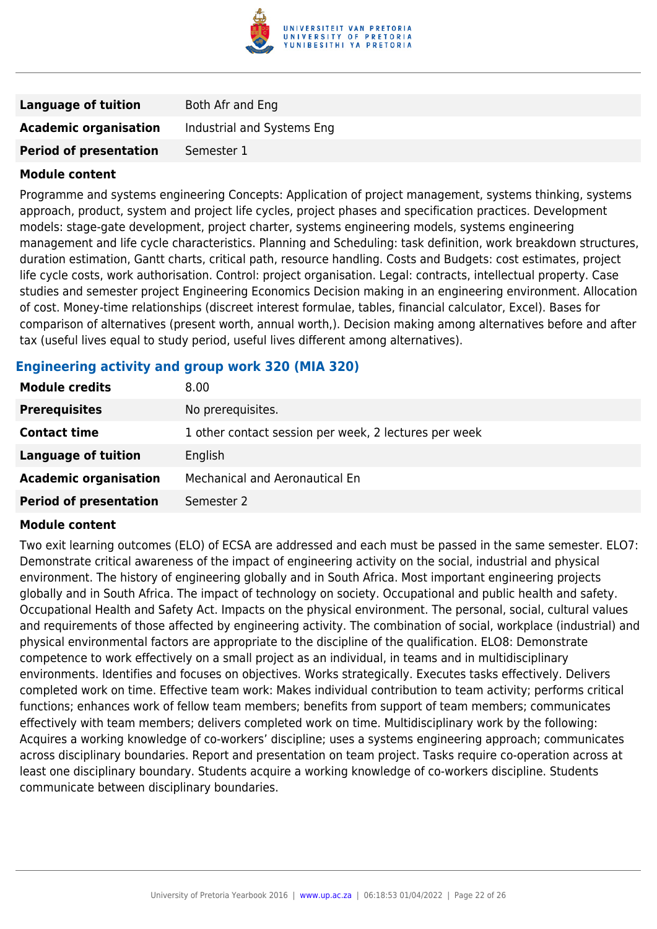

| <b>Language of tuition</b>    | Both Afr and Eng           |
|-------------------------------|----------------------------|
| <b>Academic organisation</b>  | Industrial and Systems Eng |
| <b>Period of presentation</b> | Semester 1                 |

Programme and systems engineering Concepts: Application of project management, systems thinking, systems approach, product, system and project life cycles, project phases and specification practices. Development models: stage-gate development, project charter, systems engineering models, systems engineering management and life cycle characteristics. Planning and Scheduling: task definition, work breakdown structures, duration estimation, Gantt charts, critical path, resource handling. Costs and Budgets: cost estimates, project life cycle costs, work authorisation. Control: project organisation. Legal: contracts, intellectual property. Case studies and semester project Engineering Economics Decision making in an engineering environment. Allocation of cost. Money-time relationships (discreet interest formulae, tables, financial calculator, Excel). Bases for comparison of alternatives (present worth, annual worth,). Decision making among alternatives before and after tax (useful lives equal to study period, useful lives different among alternatives).

#### **Engineering activity and group work 320 (MIA 320)**

| <b>Module credits</b>         | 8.00                                                  |
|-------------------------------|-------------------------------------------------------|
| <b>Prerequisites</b>          | No prerequisites.                                     |
| <b>Contact time</b>           | 1 other contact session per week, 2 lectures per week |
| Language of tuition           | English                                               |
| <b>Academic organisation</b>  | <b>Mechanical and Aeronautical En</b>                 |
| <b>Period of presentation</b> | Semester 2                                            |

#### **Module content**

Two exit learning outcomes (ELO) of ECSA are addressed and each must be passed in the same semester. ELO7: Demonstrate critical awareness of the impact of engineering activity on the social, industrial and physical environment. The history of engineering globally and in South Africa. Most important engineering projects globally and in South Africa. The impact of technology on society. Occupational and public health and safety. Occupational Health and Safety Act. Impacts on the physical environment. The personal, social, cultural values and requirements of those affected by engineering activity. The combination of social, workplace (industrial) and physical environmental factors are appropriate to the discipline of the qualification. ELO8: Demonstrate competence to work effectively on a small project as an individual, in teams and in multidisciplinary environments. Identifies and focuses on objectives. Works strategically. Executes tasks effectively. Delivers completed work on time. Effective team work: Makes individual contribution to team activity; performs critical functions; enhances work of fellow team members; benefits from support of team members; communicates effectively with team members; delivers completed work on time. Multidisciplinary work by the following: Acquires a working knowledge of co-workers' discipline; uses a systems engineering approach; communicates across disciplinary boundaries. Report and presentation on team project. Tasks require co-operation across at least one disciplinary boundary. Students acquire a working knowledge of co-workers discipline. Students communicate between disciplinary boundaries.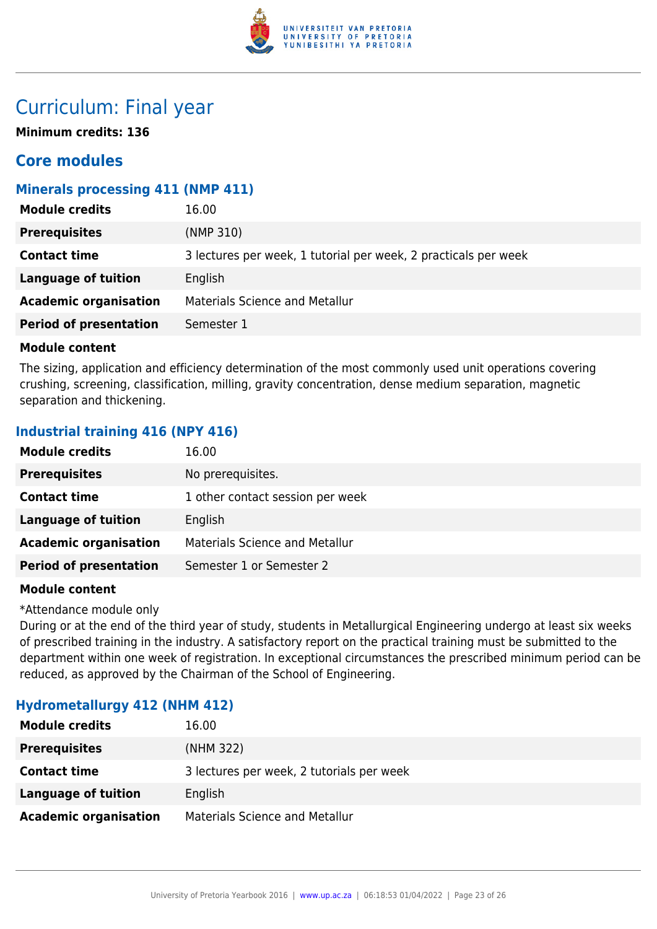

## Curriculum: Final year

**Minimum credits: 136**

## **Core modules**

## **Minerals processing 411 (NMP 411)**

| <b>Module credits</b>         | 16.00                                                           |
|-------------------------------|-----------------------------------------------------------------|
| <b>Prerequisites</b>          | (NMP 310)                                                       |
| <b>Contact time</b>           | 3 lectures per week, 1 tutorial per week, 2 practicals per week |
| Language of tuition           | English                                                         |
| <b>Academic organisation</b>  | <b>Materials Science and Metallur</b>                           |
| <b>Period of presentation</b> | Semester 1                                                      |

#### **Module content**

The sizing, application and efficiency determination of the most commonly used unit operations covering crushing, screening, classification, milling, gravity concentration, dense medium separation, magnetic separation and thickening.

## **Industrial training 416 (NPY 416)**

| <b>Module credits</b>         | 16.00                                 |
|-------------------------------|---------------------------------------|
| <b>Prerequisites</b>          | No prerequisites.                     |
| <b>Contact time</b>           | 1 other contact session per week      |
| <b>Language of tuition</b>    | English                               |
| <b>Academic organisation</b>  | <b>Materials Science and Metallur</b> |
| <b>Period of presentation</b> | Semester 1 or Semester 2              |

#### **Module content**

\*Attendance module only

During or at the end of the third year of study, students in Metallurgical Engineering undergo at least six weeks of prescribed training in the industry. A satisfactory report on the practical training must be submitted to the department within one week of registration. In exceptional circumstances the prescribed minimum period can be reduced, as approved by the Chairman of the School of Engineering.

## **Hydrometallurgy 412 (NHM 412)**

| <b>Module credits</b>        | 16.00                                     |
|------------------------------|-------------------------------------------|
| <b>Prerequisites</b>         | (NHM 322)                                 |
| <b>Contact time</b>          | 3 lectures per week, 2 tutorials per week |
| Language of tuition          | English                                   |
| <b>Academic organisation</b> | <b>Materials Science and Metallur</b>     |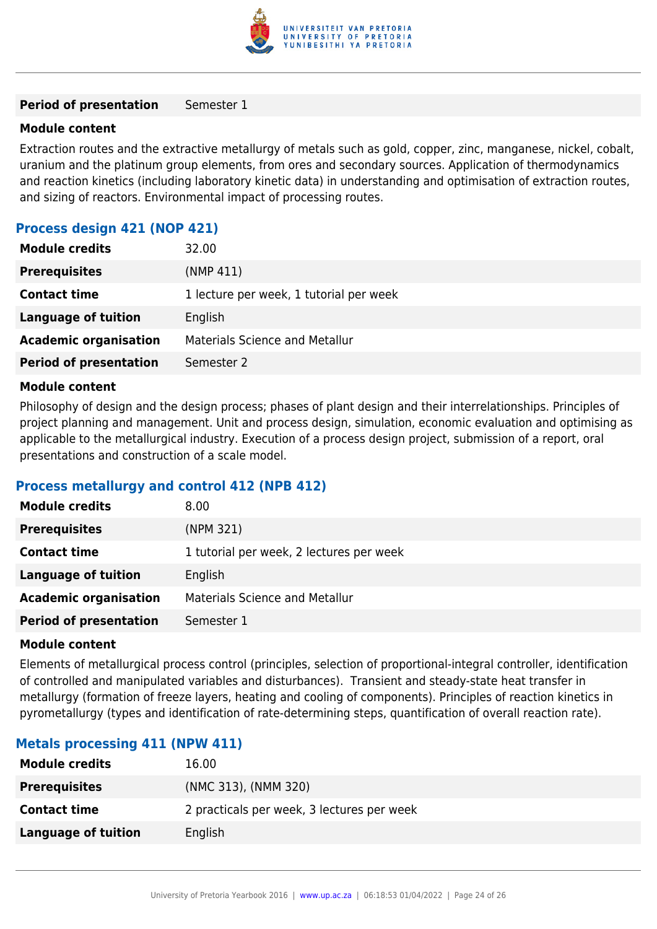

#### **Period of presentation** Semester 1

#### **Module content**

Extraction routes and the extractive metallurgy of metals such as gold, copper, zinc, manganese, nickel, cobalt, uranium and the platinum group elements, from ores and secondary sources. Application of thermodynamics and reaction kinetics (including laboratory kinetic data) in understanding and optimisation of extraction routes, and sizing of reactors. Environmental impact of processing routes.

#### **Process design 421 (NOP 421)**

| <b>Module credits</b>         | 32.00                                   |
|-------------------------------|-----------------------------------------|
| <b>Prerequisites</b>          | (NMP 411)                               |
| <b>Contact time</b>           | 1 lecture per week, 1 tutorial per week |
| <b>Language of tuition</b>    | English                                 |
| <b>Academic organisation</b>  | <b>Materials Science and Metallur</b>   |
| <b>Period of presentation</b> | Semester 2                              |

#### **Module content**

Philosophy of design and the design process; phases of plant design and their interrelationships. Principles of project planning and management. Unit and process design, simulation, economic evaluation and optimising as applicable to the metallurgical industry. Execution of a process design project, submission of a report, oral presentations and construction of a scale model.

#### **Process metallurgy and control 412 (NPB 412)**

| <b>Module credits</b>         | 8.00                                     |
|-------------------------------|------------------------------------------|
| <b>Prerequisites</b>          | (NPM 321)                                |
| <b>Contact time</b>           | 1 tutorial per week, 2 lectures per week |
| <b>Language of tuition</b>    | English                                  |
| <b>Academic organisation</b>  | <b>Materials Science and Metallur</b>    |
| <b>Period of presentation</b> | Semester 1                               |

#### **Module content**

Elements of metallurgical process control (principles, selection of proportional-integral controller, identification of controlled and manipulated variables and disturbances). Transient and steady-state heat transfer in metallurgy (formation of freeze layers, heating and cooling of components). Principles of reaction kinetics in pyrometallurgy (types and identification of rate-determining steps, quantification of overall reaction rate).

## **Metals processing 411 (NPW 411)**

| <b>Module credits</b> | 16.00                                      |
|-----------------------|--------------------------------------------|
| <b>Prerequisites</b>  | (NMC 313), (NMM 320)                       |
| <b>Contact time</b>   | 2 practicals per week, 3 lectures per week |
| Language of tuition   | English                                    |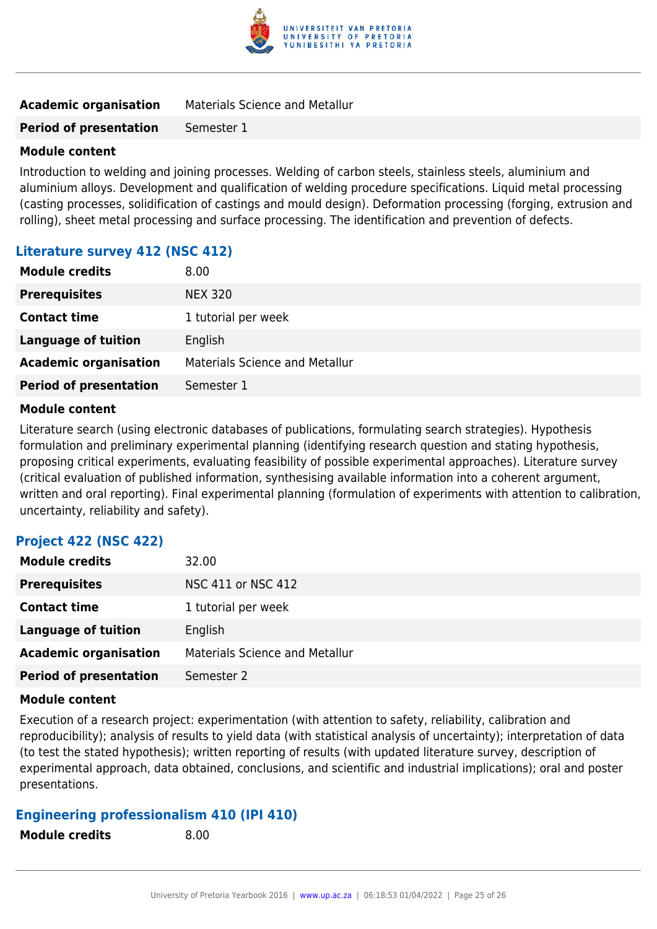

| <b>Academic organisation</b><br><b>Materials Science and Metallur</b> |
|-----------------------------------------------------------------------|
|-----------------------------------------------------------------------|

**Period of presentation** Semester 1

#### **Module content**

Introduction to welding and joining processes. Welding of carbon steels, stainless steels, aluminium and aluminium alloys. Development and qualification of welding procedure specifications. Liquid metal processing (casting processes, solidification of castings and mould design). Deformation processing (forging, extrusion and rolling), sheet metal processing and surface processing. The identification and prevention of defects.

#### **Literature survey 412 (NSC 412)**

| <b>Module credits</b>         | 8.00                                  |
|-------------------------------|---------------------------------------|
| <b>Prerequisites</b>          | <b>NEX 320</b>                        |
| <b>Contact time</b>           | 1 tutorial per week                   |
| <b>Language of tuition</b>    | English                               |
| <b>Academic organisation</b>  | <b>Materials Science and Metallur</b> |
| <b>Period of presentation</b> | Semester 1                            |

#### **Module content**

Literature search (using electronic databases of publications, formulating search strategies). Hypothesis formulation and preliminary experimental planning (identifying research question and stating hypothesis, proposing critical experiments, evaluating feasibility of possible experimental approaches). Literature survey (critical evaluation of published information, synthesising available information into a coherent argument, written and oral reporting). Final experimental planning (formulation of experiments with attention to calibration, uncertainty, reliability and safety).

#### **Project 422 (NSC 422)**

| <b>Module credits</b>         | 32.00                                 |
|-------------------------------|---------------------------------------|
| <b>Prerequisites</b>          | NSC 411 or NSC 412                    |
| <b>Contact time</b>           | 1 tutorial per week                   |
| Language of tuition           | English                               |
| <b>Academic organisation</b>  | <b>Materials Science and Metallur</b> |
| <b>Period of presentation</b> | Semester 2                            |

#### **Module content**

Execution of a research project: experimentation (with attention to safety, reliability, calibration and reproducibility); analysis of results to yield data (with statistical analysis of uncertainty); interpretation of data (to test the stated hypothesis); written reporting of results (with updated literature survey, description of experimental approach, data obtained, conclusions, and scientific and industrial implications); oral and poster presentations.

#### **Engineering professionalism 410 (IPI 410)**

**Module credits** 8.00